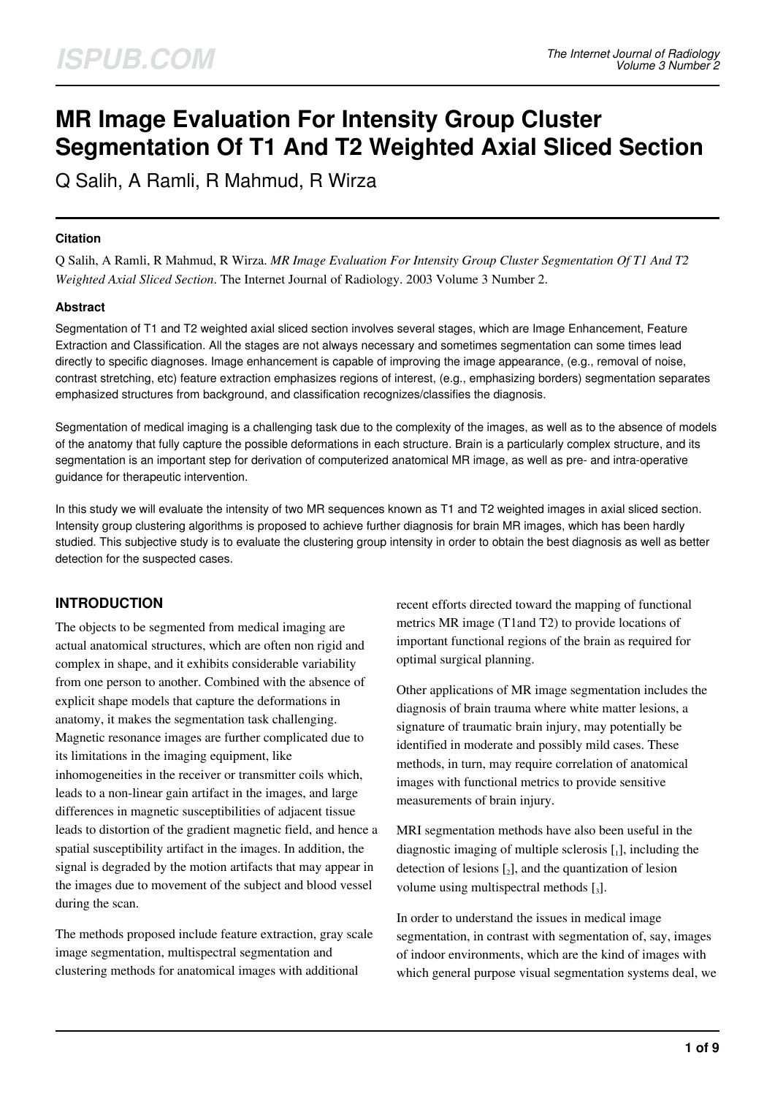# **MR Image Evaluation For Intensity Group Cluster Segmentation Of T1 And T2 Weighted Axial Sliced Section**

Q Salih, A Ramli, R Mahmud, R Wirza

#### **Citation**

Q Salih, A Ramli, R Mahmud, R Wirza. *MR Image Evaluation For Intensity Group Cluster Segmentation Of T1 And T2 Weighted Axial Sliced Section*. The Internet Journal of Radiology. 2003 Volume 3 Number 2.

#### **Abstract**

Segmentation of T1 and T2 weighted axial sliced section involves several stages, which are Image Enhancement, Feature Extraction and Classification. All the stages are not always necessary and sometimes segmentation can some times lead directly to specific diagnoses. Image enhancement is capable of improving the image appearance, (e.g., removal of noise, contrast stretching, etc) feature extraction emphasizes regions of interest, (e.g., emphasizing borders) segmentation separates emphasized structures from background, and classification recognizes/classifies the diagnosis.

Segmentation of medical imaging is a challenging task due to the complexity of the images, as well as to the absence of models of the anatomy that fully capture the possible deformations in each structure. Brain is a particularly complex structure, and its segmentation is an important step for derivation of computerized anatomical MR image, as well as pre- and intra-operative guidance for therapeutic intervention.

In this study we will evaluate the intensity of two MR sequences known as T1 and T2 weighted images in axial sliced section. Intensity group clustering algorithms is proposed to achieve further diagnosis for brain MR images, which has been hardly studied. This subjective study is to evaluate the clustering group intensity in order to obtain the best diagnosis as well as better detection for the suspected cases.

## **INTRODUCTION**

The objects to be segmented from medical imaging are actual anatomical structures, which are often non rigid and complex in shape, and it exhibits considerable variability from one person to another. Combined with the absence of explicit shape models that capture the deformations in anatomy, it makes the segmentation task challenging. Magnetic resonance images are further complicated due to its limitations in the imaging equipment, like inhomogeneities in the receiver or transmitter coils which, leads to a non-linear gain artifact in the images, and large differences in magnetic susceptibilities of adjacent tissue leads to distortion of the gradient magnetic field, and hence a spatial susceptibility artifact in the images. In addition, the signal is degraded by the motion artifacts that may appear in the images due to movement of the subject and blood vessel during the scan.

The methods proposed include feature extraction, gray scale image segmentation, multispectral segmentation and clustering methods for anatomical images with additional

recent efforts directed toward the mapping of functional metrics MR image (T1and T2) to provide locations of important functional regions of the brain as required for optimal surgical planning.

Other applications of MR image segmentation includes the diagnosis of brain trauma where white matter lesions, a signature of traumatic brain injury, may potentially be identified in moderate and possibly mild cases. These methods, in turn, may require correlation of anatomical images with functional metrics to provide sensitive measurements of brain injury.

MRI segmentation methods have also been useful in the diagnostic imaging of multiple sclerosis  $[$ <sub>1</sub> $]$ , including the detection of lesions  $\mathfrak{c}_2$ , and the quantization of lesion volume using multispectral methods  $[3]$ .

In order to understand the issues in medical image segmentation, in contrast with segmentation of, say, images of indoor environments, which are the kind of images with which general purpose visual segmentation systems deal, we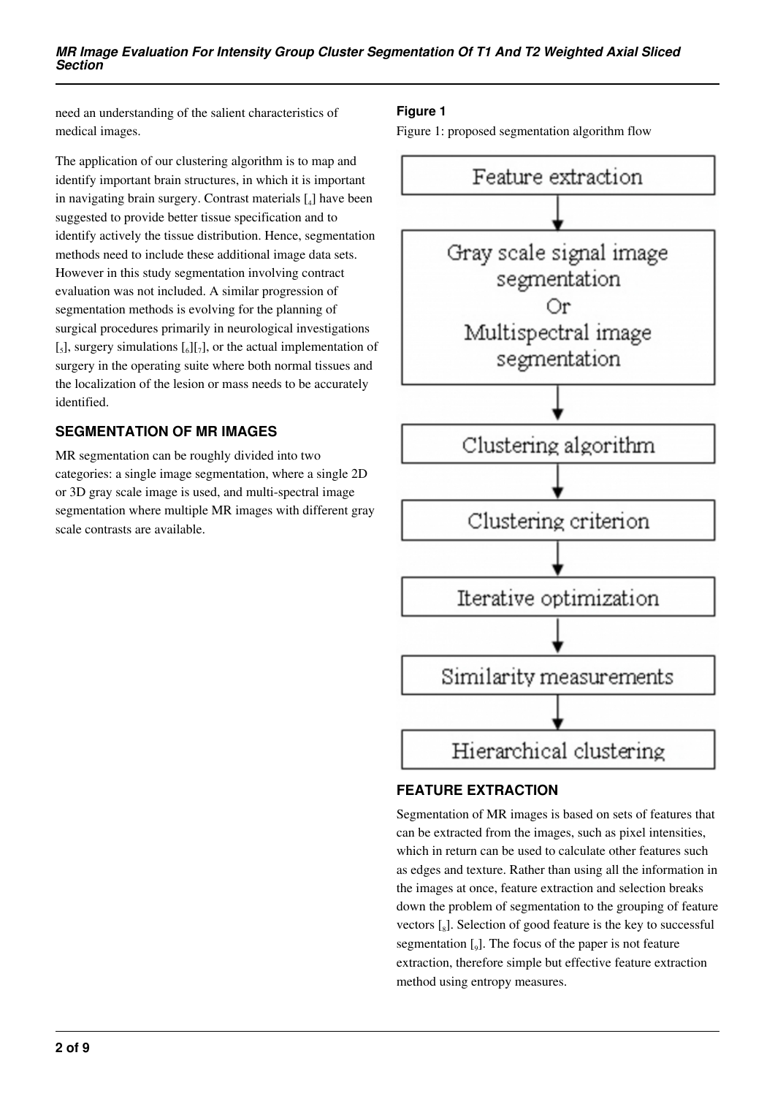need an understanding of the salient characteristics of medical images.

The application of our clustering algorithm is to map and identify important brain structures, in which it is important in navigating brain surgery. Contrast materials [<sup>4</sup> ] have been suggested to provide better tissue specification and to identify actively the tissue distribution. Hence, segmentation methods need to include these additional image data sets. However in this study segmentation involving contract evaluation was not included. A similar progression of segmentation methods is evolving for the planning of surgical procedures primarily in neurological investigations [<sub>5</sub>], surgery simulations  $\begin{bmatrix} 0 \\ 0 \end{bmatrix}$ , or the actual implementation of surgery in the operating suite where both normal tissues and the localization of the lesion or mass needs to be accurately identified.

# **SEGMENTATION OF MR IMAGES**

MR segmentation can be roughly divided into two categories: a single image segmentation, where a single 2D or 3D gray scale image is used, and multi-spectral image segmentation where multiple MR images with different gray scale contrasts are available.

## **Figure 1**

Figure 1: proposed segmentation algorithm flow



# **FEATURE EXTRACTION**

Segmentation of MR images is based on sets of features that can be extracted from the images, such as pixel intensities, which in return can be used to calculate other features such as edges and texture. Rather than using all the information in the images at once, feature extraction and selection breaks down the problem of segmentation to the grouping of feature vectors  $\left[\begin{smallmatrix}8\end{smallmatrix}\right]$ . Selection of good feature is the key to successful segmentation  $\left[\int_9\right]$ . The focus of the paper is not feature extraction, therefore simple but effective feature extraction method using entropy measures.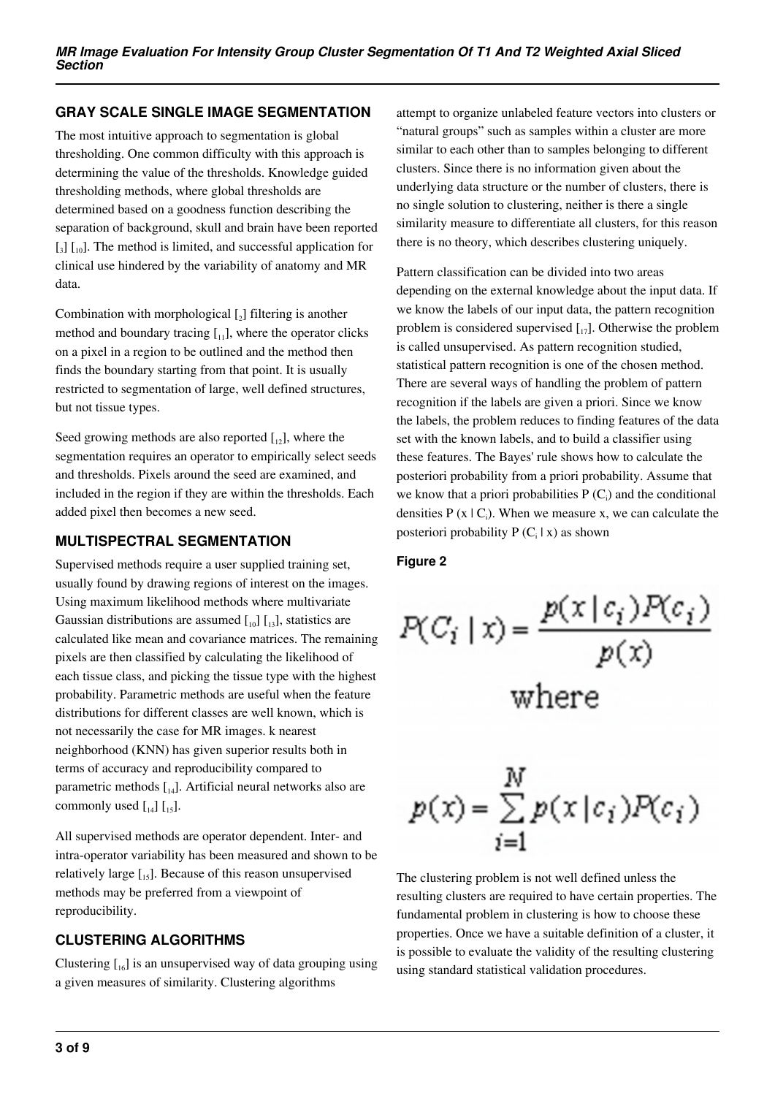# **GRAY SCALE SINGLE IMAGE SEGMENTATION**

The most intuitive approach to segmentation is global thresholding. One common difficulty with this approach is determining the value of the thresholds. Knowledge guided thresholding methods, where global thresholds are determined based on a goodness function describing the separation of background, skull and brain have been reported [3] [10]. The method is limited, and successful application for clinical use hindered by the variability of anatomy and MR data.

Combination with morphological  $\left[\begin{smallmatrix} 2 \end{smallmatrix}\right]$  filtering is another method and boundary tracing  $\begin{bmatrix} 1 \\ 1 \end{bmatrix}$ , where the operator clicks on a pixel in a region to be outlined and the method then finds the boundary starting from that point. It is usually restricted to segmentation of large, well defined structures, but not tissue types.

Seed growing methods are also reported  $\begin{bmatrix} 1 \\ 2 \end{bmatrix}$ , where the segmentation requires an operator to empirically select seeds and thresholds. Pixels around the seed are examined, and included in the region if they are within the thresholds. Each added pixel then becomes a new seed.

# **MULTISPECTRAL SEGMENTATION**

Supervised methods require a user supplied training set, usually found by drawing regions of interest on the images. Using maximum likelihood methods where multivariate Gaussian distributions are assumed  $\begin{bmatrix} 1 & 0 \\ 0 & 1 \end{bmatrix}$ , statistics are calculated like mean and covariance matrices. The remaining pixels are then classified by calculating the likelihood of each tissue class, and picking the tissue type with the highest probability. Parametric methods are useful when the feature distributions for different classes are well known, which is not necessarily the case for MR images. k nearest neighborhood (KNN) has given superior results both in terms of accuracy and reproducibility compared to parametric methods  $\begin{bmatrix} 1 & 0 \\ 0 & 1 \end{bmatrix}$ . Artificial neural networks also are commonly used  $\begin{bmatrix} 1 & 1 \\ 1 & 1 \end{bmatrix}$ .

All supervised methods are operator dependent. Inter- and intra-operator variability has been measured and shown to be relatively large  $\left[1,5\right]$ . Because of this reason unsupervised methods may be preferred from a viewpoint of reproducibility.

# **CLUSTERING ALGORITHMS**

Clustering  $\begin{bmatrix} 16 \end{bmatrix}$  is an unsupervised way of data grouping using a given measures of similarity. Clustering algorithms

attempt to organize unlabeled feature vectors into clusters or "natural groups" such as samples within a cluster are more similar to each other than to samples belonging to different clusters. Since there is no information given about the underlying data structure or the number of clusters, there is no single solution to clustering, neither is there a single similarity measure to differentiate all clusters, for this reason there is no theory, which describes clustering uniquely.

Pattern classification can be divided into two areas depending on the external knowledge about the input data. If we know the labels of our input data, the pattern recognition problem is considered supervised  $\begin{bmatrix} 1 \\ 1 \end{bmatrix}$ . Otherwise the problem is called unsupervised. As pattern recognition studied, statistical pattern recognition is one of the chosen method. There are several ways of handling the problem of pattern recognition if the labels are given a priori. Since we know the labels, the problem reduces to finding features of the data set with the known labels, and to build a classifier using these features. The Bayes' rule shows how to calculate the posteriori probability from a priori probability. Assume that we know that a priori probabilities  $P(C_i)$  and the conditional densities  $P(x | C_i)$ . When we measure x, we can calculate the posteriori probability  $P(C_i | x)$  as shown

## **Figure 2**

 $P(C_i | x) = \frac{p(x | c_i) P(c_i)}{p(x)}$ where  $p(x) = \sum_{i=1}^{N} p(x | c_i) P(c_i)$ 

The clustering problem is not well defined unless the resulting clusters are required to have certain properties. The fundamental problem in clustering is how to choose these properties. Once we have a suitable definition of a cluster, it is possible to evaluate the validity of the resulting clustering using standard statistical validation procedures.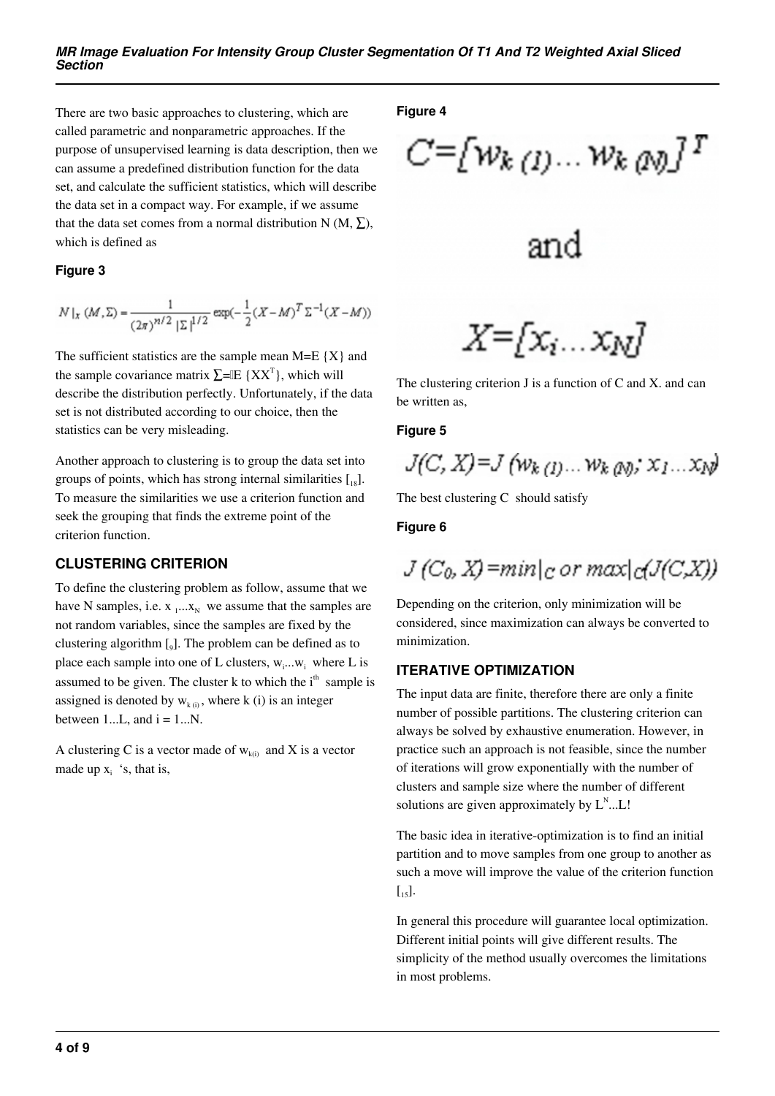There are two basic approaches to clustering, which are called parametric and nonparametric approaches. If the purpose of unsupervised learning is data description, then we can assume a predefined distribution function for the data set, and calculate the sufficient statistics, which will describe the data set in a compact way. For example, if we assume that the data set comes from a normal distribution N (M,  $\Sigma$ ), which is defined as

#### **Figure 3**

$$
N\mid_{x} (M,\Sigma)=\frac{1}{(2\pi)^{n/2} \; |\Sigma|^{\frac{1}{2}/2}} \exp(-\frac{1}{2}(X-M)^T \Sigma^{-1}(X-M))
$$

The sufficient statistics are the sample mean  $M=E {X}$  and the sample covariance matrix  $\Sigma$ = $\mathbb{E} \{XX^T\}$ , which will describe the distribution perfectly. Unfortunately, if the data set is not distributed according to our choice, then the statistics can be very misleading.

Another approach to clustering is to group the data set into groups of points, which has strong internal similarities  $\lceil_{18}\rceil$ . To measure the similarities we use a criterion function and seek the grouping that finds the extreme point of the criterion function.

## **CLUSTERING CRITERION**

To define the clustering problem as follow, assume that we have N samples, i.e.  $x_1...x_N$  we assume that the samples are not random variables, since the samples are fixed by the clustering algorithm [<sup>9</sup> ]. The problem can be defined as to place each sample into one of L clusters,  $w_i...w_i$  where L is assumed to be given. The cluster k to which the  $i<sup>th</sup>$  sample is assigned is denoted by  $w_{k(i)}$ , where k (i) is an integer between  $1...L$ , and  $i = 1...N$ .

A clustering C is a vector made of  $w_{k(i)}$  and X is a vector made up  $x_i$  's, that is,

#### **Figure 4**

$$
C = [w_{k(1)} \dots w_{k(N)}]^T
$$

$$
\frac{1}{2}
$$

and

$$
X = [x_i \dots x_N]
$$

The clustering criterion J is a function of C and X. and can be written as,

#### **Figure 5**

$$
J(C, X) = J(w_{k(1)} \dots w_{k(N)}, x_1 \dots x_N)
$$

The best clustering C should satisfy

#### **Figure 6**

$$
J(C_0, X) = min|_{C \cdot C} \cdot max|_{C}(J(C, X))
$$

Depending on the criterion, only minimization will be considered, since maximization can always be converted to minimization.

## **ITERATIVE OPTIMIZATION**

The input data are finite, therefore there are only a finite number of possible partitions. The clustering criterion can always be solved by exhaustive enumeration. However, in practice such an approach is not feasible, since the number of iterations will grow exponentially with the number of clusters and sample size where the number of different solutions are given approximately by  $L^N$ ... L!

The basic idea in iterative-optimization is to find an initial partition and to move samples from one group to another as such a move will improve the value of the criterion function  $\lceil 15 \rceil$ .

In general this procedure will guarantee local optimization. Different initial points will give different results. The simplicity of the method usually overcomes the limitations in most problems.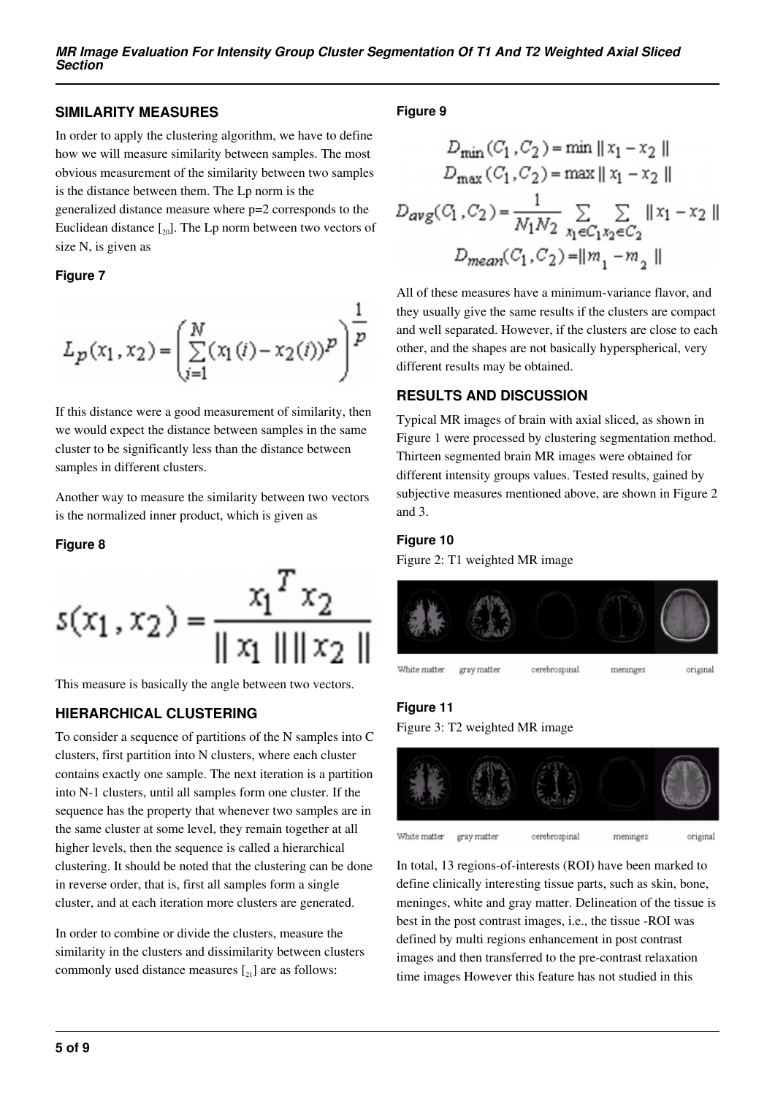## **SIMILARITY MEASURES**

In order to apply the clustering algorithm, we have to define how we will measure similarity between samples. The most obvious measurement of the similarity between two samples is the distance between them. The Lp norm is the

generalized distance measure where p=2 corresponds to the Euclidean distance  $\left[\begin{smallmatrix} 20 \end{smallmatrix}\right]$ . The Lp norm between two vectors of size N, is given as

#### **Figure 7**

$$
L_p(x_1, x_2) = \left(\sum_{i=1}^N (x_1(i) - x_2(i))^p\right)^{\frac{1}{p}}
$$

If this distance were a good measurement of similarity, then we would expect the distance between samples in the same cluster to be significantly less than the distance between samples in different clusters.

Another way to measure the similarity between two vectors is the normalized inner product, which is given as

#### **Figure 8**

$$
s(x_1, x_2) = \frac{x_1^T x_2}{\|x_1\| \|x_2\|}
$$

This measure is basically the angle between two vectors.

## **HIERARCHICAL CLUSTERING**

To consider a sequence of partitions of the N samples into C clusters, first partition into N clusters, where each cluster contains exactly one sample. The next iteration is a partition into N-1 clusters, until all samples form one cluster. If the sequence has the property that whenever two samples are in the same cluster at some level, they remain together at all higher levels, then the sequence is called a hierarchical clustering. It should be noted that the clustering can be done in reverse order, that is, first all samples form a single cluster, and at each iteration more clusters are generated.

In order to combine or divide the clusters, measure the similarity in the clusters and dissimilarity between clusters commonly used distance measures  $\begin{bmatrix} 21 \end{bmatrix}$  are as follows:

## **Figure 9**

$$
D_{\min}(C_1, C_2) = \min ||x_1 - x_2||
$$
  
\n
$$
D_{\max}(C_1, C_2) = \max ||x_1 - x_2||
$$
  
\n
$$
D_{avg}(C_1, C_2) = \frac{1}{N_1 N_2} \sum_{x_1 \in C_1 x_2 \in C_2} ||x_1 - x_2||
$$
  
\n
$$
D_{mean}(C_1, C_2) = ||m_1 - m_2||
$$

All of these measures have a minimum-variance flavor, and they usually give the same results if the clusters are compact and well separated. However, if the clusters are close to each other, and the shapes are not basically hyperspherical, very different results may be obtained.

# **RESULTS AND DISCUSSION**

Typical MR images of brain with axial sliced, as shown in Figure 1 were processed by clustering segmentation method. Thirteen segmented brain MR images were obtained for different intensity groups values. Tested results, gained by subjective measures mentioned above, are shown in Figure 2 and 3.

#### **Figure 10**

Figure 2: T1 weighted MR image



## **Figure 11**

Figure 3: T2 weighted MR image



In total, 13 regions-of-interests (ROI) have been marked to define clinically interesting tissue parts, such as skin, bone, meninges, white and gray matter. Delineation of the tissue is best in the post contrast images, i.e., the tissue -ROI was defined by multi regions enhancement in post contrast images and then transferred to the pre-contrast relaxation time images However this feature has not studied in this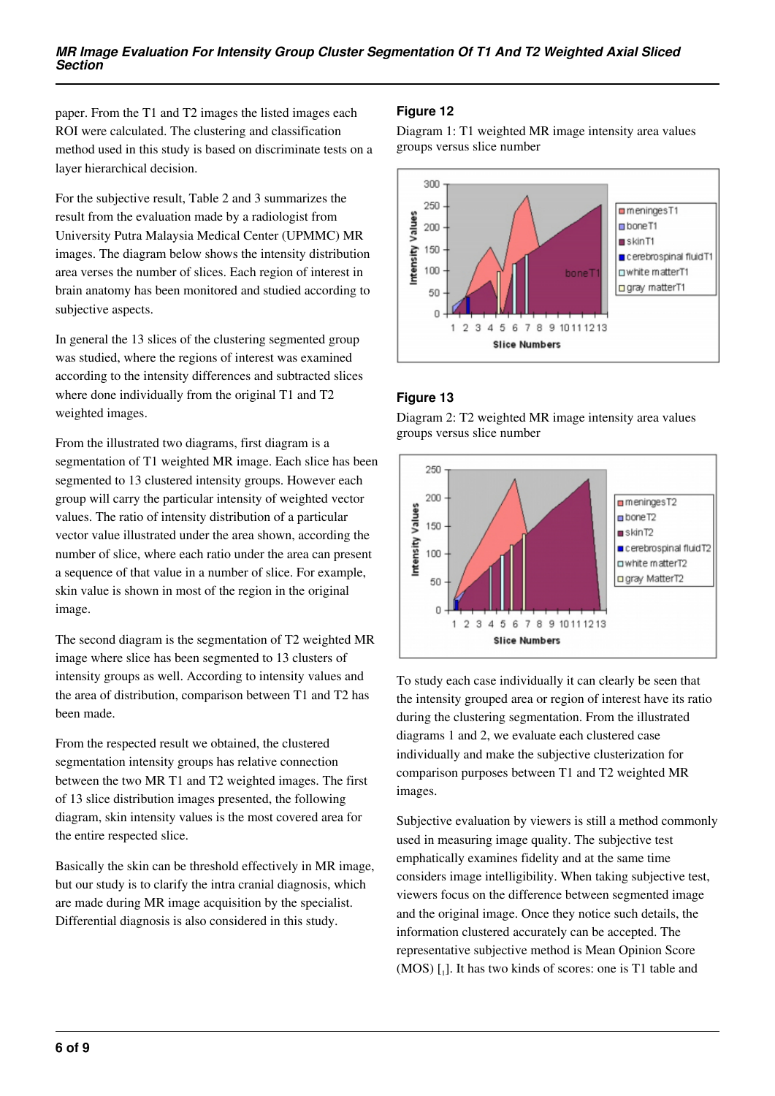paper. From the T1 and T2 images the listed images each ROI were calculated. The clustering and classification method used in this study is based on discriminate tests on a layer hierarchical decision.

For the subjective result, Table 2 and 3 summarizes the result from the evaluation made by a radiologist from University Putra Malaysia Medical Center (UPMMC) MR images. The diagram below shows the intensity distribution area verses the number of slices. Each region of interest in brain anatomy has been monitored and studied according to subjective aspects.

In general the 13 slices of the clustering segmented group was studied, where the regions of interest was examined according to the intensity differences and subtracted slices where done individually from the original T1 and T2 weighted images.

From the illustrated two diagrams, first diagram is a segmentation of T1 weighted MR image. Each slice has been segmented to 13 clustered intensity groups. However each group will carry the particular intensity of weighted vector values. The ratio of intensity distribution of a particular vector value illustrated under the area shown, according the number of slice, where each ratio under the area can present a sequence of that value in a number of slice. For example, skin value is shown in most of the region in the original image.

The second diagram is the segmentation of T2 weighted MR image where slice has been segmented to 13 clusters of intensity groups as well. According to intensity values and the area of distribution, comparison between T1 and T2 has been made.

From the respected result we obtained, the clustered segmentation intensity groups has relative connection between the two MR T1 and T2 weighted images. The first of 13 slice distribution images presented, the following diagram, skin intensity values is the most covered area for the entire respected slice.

Basically the skin can be threshold effectively in MR image, but our study is to clarify the intra cranial diagnosis, which are made during MR image acquisition by the specialist. Differential diagnosis is also considered in this study.

# **Figure 12**

Diagram 1: T1 weighted MR image intensity area values groups versus slice number



# **Figure 13**

Diagram 2: T2 weighted MR image intensity area values groups versus slice number



To study each case individually it can clearly be seen that the intensity grouped area or region of interest have its ratio during the clustering segmentation. From the illustrated diagrams 1 and 2, we evaluate each clustered case individually and make the subjective clusterization for comparison purposes between T1 and T2 weighted MR images.

Subjective evaluation by viewers is still a method commonly used in measuring image quality. The subjective test emphatically examines fidelity and at the same time considers image intelligibility. When taking subjective test, viewers focus on the difference between segmented image and the original image. Once they notice such details, the information clustered accurately can be accepted. The representative subjective method is Mean Opinion Score  $(MOS)$  [1]. It has two kinds of scores: one is T1 table and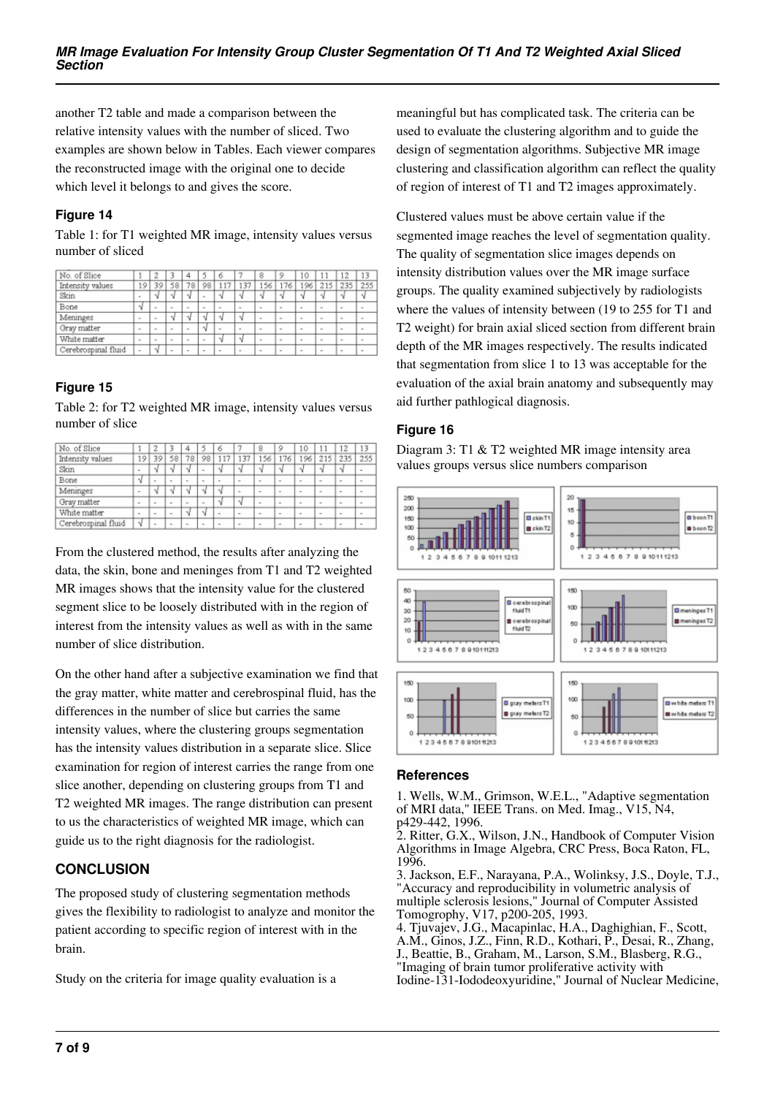another T2 table and made a comparison between the relative intensity values with the number of sliced. Two examples are shown below in Tables. Each viewer compares the reconstructed image with the original one to decide which level it belongs to and gives the score.

## **Figure 14**

Table 1: for T1 weighted MR image, intensity values versus number of sliced

| No. of Slice        |        | 2      |              |                          |                          |        |        | 8              | ٥                        | ١O           |                | 12           | 13     |
|---------------------|--------|--------|--------------|--------------------------|--------------------------|--------|--------|----------------|--------------------------|--------------|----------------|--------------|--------|
| Intensity values    | 19     | 39     | 58           | 78                       | 98                       | 117    | 137    | 156            | 176                      | 196          | 215            | 235          | 255    |
| Skin                | ٠      | V      |              |                          | $\overline{\phantom{a}}$ | ×,     |        | ٦l             |                          | N            | N              |              | V      |
| Bone                | ν      | $\sim$ | $\sim$       | $\sim$                   | $\sim$                   | $\sim$ | $\sim$ | $\sim$         | $\sim$                   | $\alpha$     | $\sim$         | $\sim$       | $\sim$ |
| Meninges            | $\sim$ | $\sim$ | ٨ž           |                          |                          |        |        | $\sim$         | $\sim$                   | $\sim$       | $\sim$         | $\sim$       | $\sim$ |
| Gray matter         | ٠      | $\sim$ | $\mathbf{r}$ | $\overline{a}$           | ٦J                       | ×      | $\sim$ | $\overline{a}$ | $\mathbf{r}$             | $\mathbf{r}$ | $\overline{a}$ | $\mathbf{r}$ | ٠      |
| White matter        | ٠      | $\sim$ | $\sim$       | $\sim$                   | $\overline{\phantom{a}}$ | ×.     | N      | $\sim$         | $\overline{\phantom{a}}$ | $\sim$       | $\sim$         | $\sim$       | ٠      |
| Cerebrospinal fluid | $\sim$ | Ν      | $\sim$       | $\overline{\phantom{a}}$ | $\;$                     | $\sim$ | $\sim$ | $\;$           | $\overline{\phantom{a}}$ | ٠            | $\sim$         | $\sim$       | $\sim$ |

#### **Figure 15**

Table 2: for T2 weighted MR image, intensity values versus number of slice

| No. of Slice        |        |        |        |        |        |                          |                          | 8      | $\circ$ | 10                       |                          |                          |                          |
|---------------------|--------|--------|--------|--------|--------|--------------------------|--------------------------|--------|---------|--------------------------|--------------------------|--------------------------|--------------------------|
| Intensity values    | 19     | 39     | 58     | 78     | 98     |                          | 37                       | 156    | 176     | 196                      | 215                      | 235                      | 255                      |
| Skin                | $\sim$ |        |        |        | $\sim$ | ٦J                       |                          | N      | N       |                          |                          |                          | ۰                        |
| Bone                | N      | $\sim$ | $\sim$ | $\sim$ | $\sim$ | $\overline{\phantom{a}}$ | $\overline{\phantom{a}}$ | $\sim$ | $\sim$  | $\sim$                   | $\sim$                   | $\sim$                   | $\overline{\phantom{a}}$ |
| Meninges            | $\,$   |        |        |        |        | N                        | $\overline{\phantom{a}}$ | $\sim$ | $\,$    | $\overline{\phantom{a}}$ | $\,$                     | $\,$                     | ۰                        |
| Gray matter         | $\sim$ | ۰      | ۰      | $\sim$ | $\sim$ | N                        |                          | $\sim$ | $\sim$  | $\overline{\phantom{a}}$ | $\overline{\phantom{a}}$ | $\overline{\phantom{a}}$ |                          |
| White matter        | $\sim$ | ۰      | ۰      |        |        | $\overline{\phantom{a}}$ | ۰                        | $\sim$ | $\sim$  | $\sim$                   | $\sim$                   | $\sim$                   |                          |
| Cerebrospinal fluid | ۰V     |        | $\sim$ |        | $\sim$ | $\overline{\phantom{a}}$ | $\sim$                   | $\sim$ | $\sim$  | $\overline{\phantom{a}}$ | $\sim$                   | $\sim$                   |                          |

From the clustered method, the results after analyzing the data, the skin, bone and meninges from T1 and T2 weighted MR images shows that the intensity value for the clustered segment slice to be loosely distributed with in the region of interest from the intensity values as well as with in the same number of slice distribution.

On the other hand after a subjective examination we find that the gray matter, white matter and cerebrospinal fluid, has the differences in the number of slice but carries the same intensity values, where the clustering groups segmentation has the intensity values distribution in a separate slice. Slice examination for region of interest carries the range from one slice another, depending on clustering groups from T1 and T2 weighted MR images. The range distribution can present to us the characteristics of weighted MR image, which can guide us to the right diagnosis for the radiologist.

# **CONCLUSION**

The proposed study of clustering segmentation methods gives the flexibility to radiologist to analyze and monitor the patient according to specific region of interest with in the brain.

Study on the criteria for image quality evaluation is a

meaningful but has complicated task. The criteria can be used to evaluate the clustering algorithm and to guide the design of segmentation algorithms. Subjective MR image clustering and classification algorithm can reflect the quality of region of interest of T1 and T2 images approximately.

Clustered values must be above certain value if the segmented image reaches the level of segmentation quality. The quality of segmentation slice images depends on intensity distribution values over the MR image surface groups. The quality examined subjectively by radiologists where the values of intensity between (19 to 255 for T1 and T2 weight) for brain axial sliced section from different brain depth of the MR images respectively. The results indicated that segmentation from slice 1 to 13 was acceptable for the evaluation of the axial brain anatomy and subsequently may aid further pathlogical diagnosis.

#### **Figure 16**

Diagram 3: T1 & T2 weighted MR image intensity area values groups versus slice numbers comparison



#### **References**

1. Wells, W.M., Grimson, W.E.L., "Adaptive segmentation of MRI data," IEEE Trans. on Med. Imag., V15, N4, p429-442, 1996.

2. Ritter, G.X., Wilson, J.N., Handbook of Computer Vision Algorithms in Image Algebra, CRC Press, Boca Raton, FL, 1996.

3. Jackson, E.F., Narayana, P.A., Wolinksy, J.S., Doyle, T.J., "Accuracy and reproducibility in volumetric analysis of multiple sclerosis lesions," Journal of Computer Assisted Tomogrophy, V17, p200-205, 1993.

4. Tjuvajev, J.G., Macapinlac, H.A., Daghighian, F., Scott, A.M., Ginos, J.Z., Finn, R.D., Kothari, P., Desai, R., Zhang, J., Beattie, B., Graham, M., Larson, S.M., Blasberg, R.G., "Imaging of brain tumor proliferative activity with Iodine-131-Iododeoxyuridine," Journal of Nuclear Medicine,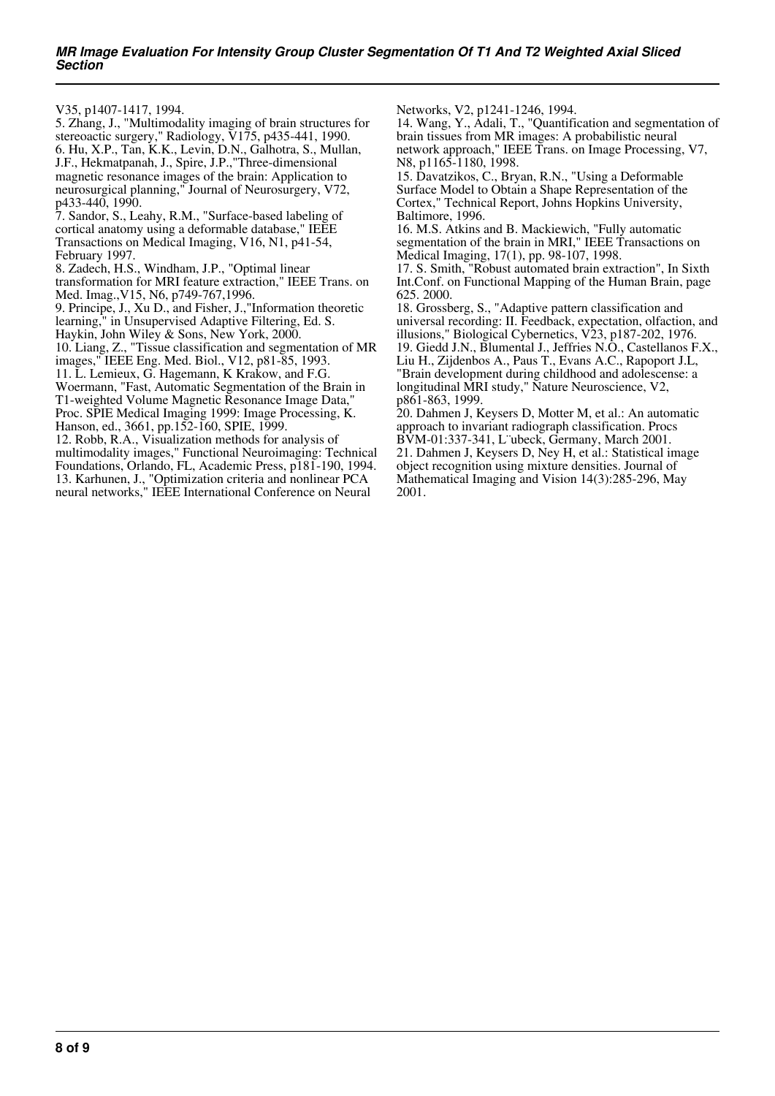V35, p1407-1417, 1994.

5. Zhang, J., "Multimodality imaging of brain structures for stereoactic surgery," Radiology, V175, p435-441, 1990. 6. Hu, X.P., Tan, K.K., Levin, D.N., Galhotra, S., Mullan, J.F., Hekmatpanah, J., Spire, J.P.,"Three-dimensional magnetic resonance images of the brain: Application to neurosurgical planning," Journal of Neurosurgery, V72, p433-440, 1990. 7. Sandor, S., Leahy, R.M., "Surface-based labeling of

cortical anatomy using a deformable database," IEEE Transactions on Medical Imaging, V16, N1, p41-54, February 1997.

8. Zadech, H.S., Windham, J.P., "Optimal linear transformation for MRI feature extraction," IEEE Trans. on Med. Imag.,V15, N6, p749-767,1996.

9. Principe, J., Xu D., and Fisher, J.,"Information theoretic learning," in Unsupervised Adaptive Filtering, Ed. S.

Haykin, John Wiley & Sons, New York, 2000.

10. Liang, Z., "Tissue classification and segmentation of MR

images," IEEE Eng. Med. Biol., V12, p81-85, 1993.

11. L. Lemieux, G. Hagemann, K Krakow, and F.G. Woermann, "Fast, Automatic Segmentation of the Brain in

T1-weighted Volume Magnetic Resonance Image Data," Proc. SPIE Medical Imaging 1999: Image Processing, K.

Hanson, ed., 3661, pp.152-160, SPIE, 1999.

12. Robb, R.A., Visualization methods for analysis of multimodality images," Functional Neuroimaging: Technical Foundations, Orlando, FL, Academic Press, p181-190, 1994. 13. Karhunen, J., "Optimization criteria and nonlinear PCA neural networks," IEEE International Conference on Neural

Networks, V2, p1241-1246, 1994.

14. Wang, Y., Adali, T., "Quantification and segmentation of brain tissues from MR images: A probabilistic neural network approach," IEEE Trans. on Image Processing, V7, N8, p1165-1180, 1998.

15. Davatzikos, C., Bryan, R.N., "Using a Deformable Surface Model to Obtain a Shape Representation of the Cortex," Technical Report, Johns Hopkins University, Baltimore, 1996.

16. M.S. Atkins and B. Mackiewich, "Fully automatic segmentation of the brain in MRI," IEEE Transactions on Medical Imaging, 17(1), pp. 98-107, 1998.

17. S. Smith, "Robust automated brain extraction", In Sixth Int.Conf. on Functional Mapping of the Human Brain, page 625. 2000.

18. Grossberg, S., "Adaptive pattern classification and universal recording: II. Feedback, expectation, olfaction, and illusions," Biological Cybernetics, V23, p187-202, 1976. 19. Giedd J.N., Blumental J., Jeffries N.O., Castellanos F.X., Liu H., Zijdenbos A., Paus T., Evans A.C., Rapoport J.L, "Brain development during childhood and adolescense: a longitudinal MRI study," Nature Neuroscience, V2, p861-863, 1999.

20. Dahmen J, Keysers D, Motter M, et al.: An automatic approach to invariant radiograph classification. Procs BVM-01:337-341, L¨ubeck, Germany, March 2001. 21. Dahmen J, Keysers D, Ney H, et al.: Statistical image object recognition using mixture densities. Journal of Mathematical Imaging and Vision 14(3):285-296, May 2001.